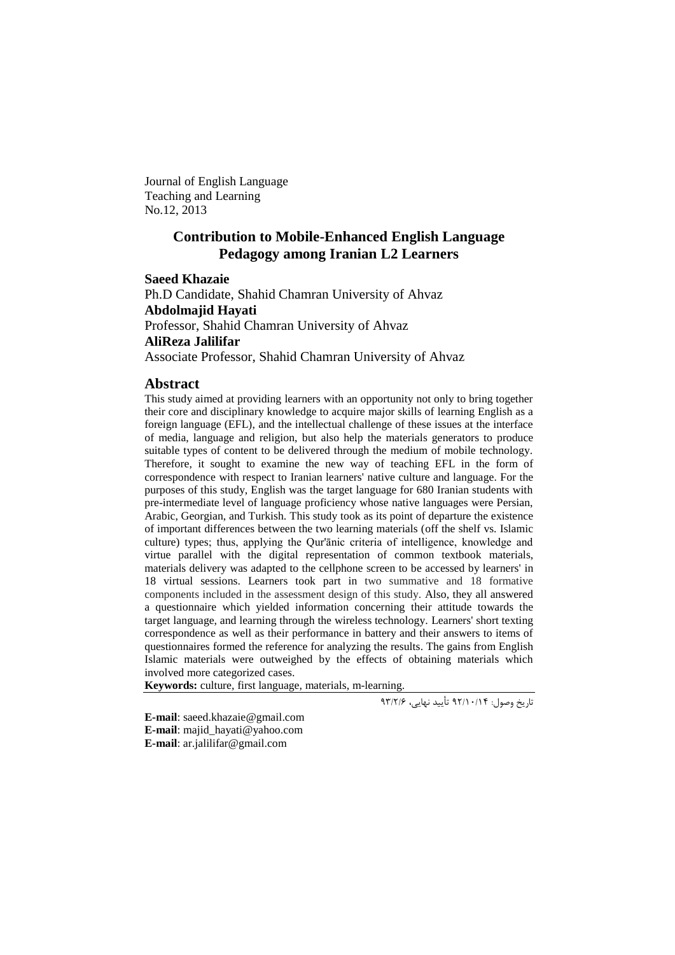Journal of English Language Teaching and Learning No.12, 2013

# **Contribution to Mobile-Enhanced English Language Pedagogy among Iranian L2 Learners**

**Saeed Khazaie** Ph.D Candidate, Shahid Chamran University of Ahvaz **Abdolmajid Hayati** Professor, Shahid Chamran University of Ahvaz **AliReza Jalilifar** Associate Professor, Shahid Chamran University of Ahvaz

#### **Abstract**

This study aimed at providing learners with an opportunity not only to bring together their core and disciplinary knowledge to acquire major skills of learning English as a foreign language (EFL), and the intellectual challenge of these issues at the interface of media, language and religion, but also help the materials generators to produce suitable types of content to be delivered through the medium of mobile technology. Therefore, it sought to examine the new way of teaching EFL in the form of correspondence with respect to Iranian learners' native culture and language. For the purposes of this study, English was the target language for 680 Iranian students with pre-intermediate level of language proficiency whose native languages were Persian, Arabic, Georgian, and Turkish. This study took as its point of departure the existence of important differences between the two learning materials (off the shelf vs. Islamic culture) types; thus, applying the Qur'ānic criteria of intelligence, knowledge and virtue parallel with the digital representation of common textbook materials, materials delivery was adapted to the cellphone screen to be accessed by learners' in 18 virtual sessions. Learners took part in two summative and 18 formative components included in the assessment design of this study. Also, they all answered a questionnaire which yielded information concerning their attitude towards the target language, and learning through the wireless technology. Learners' short texting correspondence as well as their performance in battery and their answers to items of questionnaires formed the reference for analyzing the results. The gains from English Islamic materials were outweighed by the effects of obtaining materials which involved more categorized cases.

**Keywords:** culture, first language, materials, m-learning.

تاریخ وصول: 29/41/41 تأیید نهایی، 29/9/6

**E-mail**: [saeed.khazaie@gmail.com](mailto:saeed.khazaie@gmail.com) **E-mail**: [majid\\_hayati@yahoo.com](mailto:majid_hayati@yahoo.com) **E-mail**: ar.jalilifar@gmail.com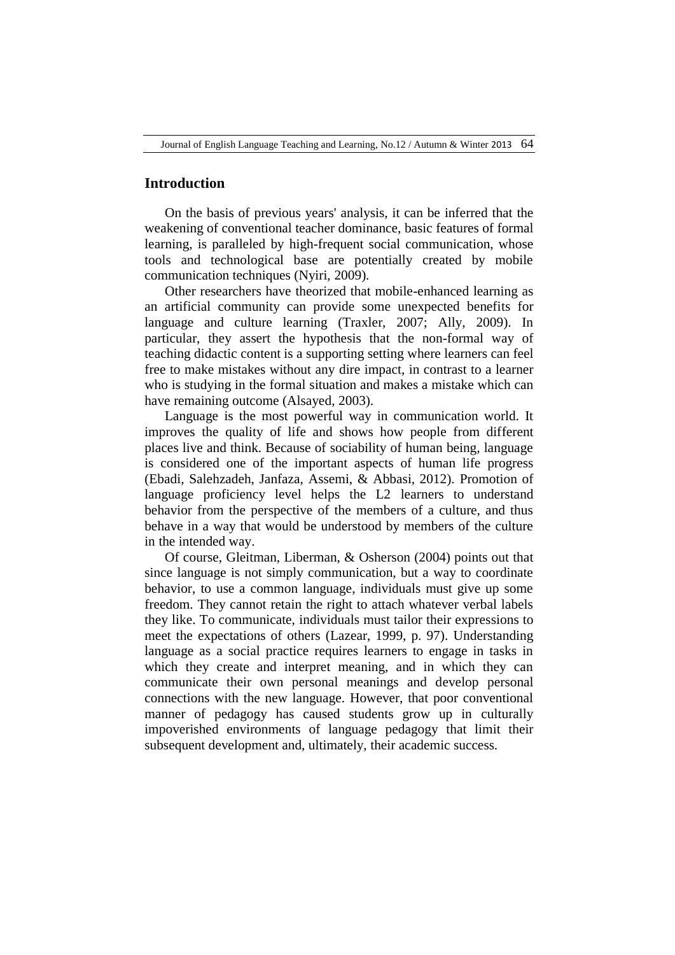## **Introduction**

On the basis of previous years' analysis, it can be inferred that the weakening of conventional teacher dominance, basic features of formal learning, is paralleled by high-frequent social communication, whose tools and technological base are potentially created by mobile communication techniques (Nyiri, 2009).

Other researchers have theorized that mobile-enhanced learning as an artificial community can provide some unexpected benefits for language and culture learning (Traxler, 2007; Ally, 2009). In particular, they assert the hypothesis that the non-formal way of teaching didactic content is a supporting setting where learners can feel free to make mistakes without any dire impact, in contrast to a learner who is studying in the formal situation and makes a mistake which can have remaining outcome (Alsayed, 2003).

Language is the most powerful way in communication world. It improves the quality of life and shows how people from different places live and think. Because of sociability of human being, language is considered one of the important aspects of human life progress (Ebadi, Salehzadeh, Janfaza, Assemi, & Abbasi, 2012). Promotion of language proficiency level helps the L2 learners to understand behavior from the perspective of the members of a culture, and thus behave in a way that would be understood by members of the culture in the intended way.

Of course, Gleitman, Liberman, & Osherson (2004) points out that since language is not simply communication, but a way to coordinate behavior, to use a common language, individuals must give up some freedom. They cannot retain the right to attach whatever verbal labels they like. To communicate, individuals must tailor their expressions to meet the expectations of others (Lazear, 1999, p. 97). Understanding language as a social practice requires learners to engage in tasks in which they create and interpret meaning, and in which they can communicate their own personal meanings and develop personal connections with the new language. However, that poor conventional manner of pedagogy has caused students grow up in culturally impoverished environments of language pedagogy that limit their subsequent development and, ultimately, their academic success.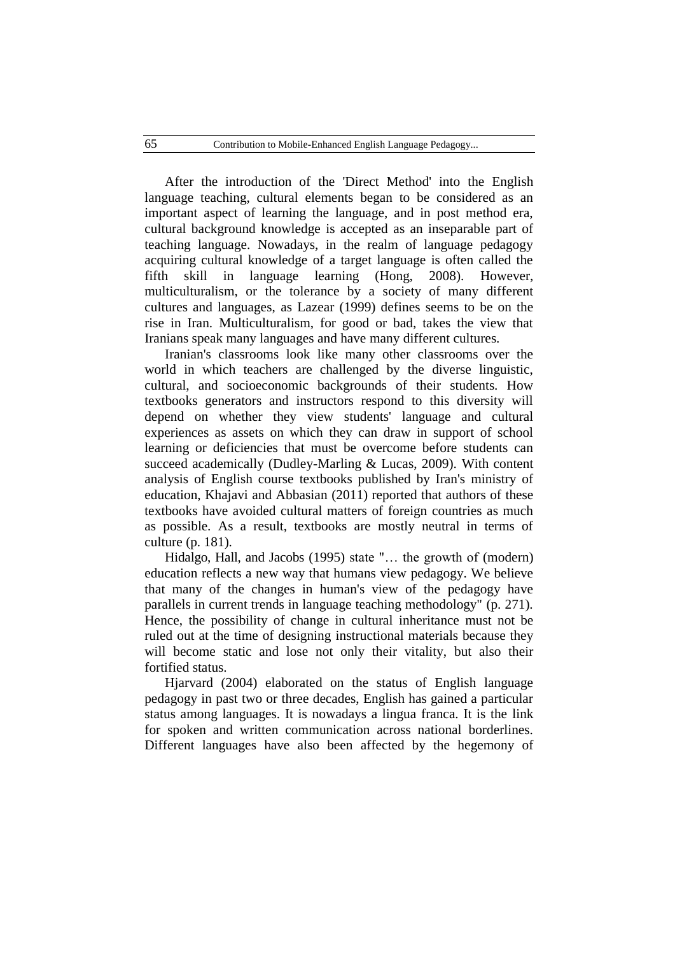After the introduction of the 'Direct Method' into the English language teaching, cultural elements began to be considered as an important aspect of learning the language, and in post method era, cultural background knowledge is accepted as an inseparable part of teaching language. Nowadays, in the realm of language pedagogy acquiring cultural knowledge of a target language is often called the fifth skill in language learning (Hong, 2008). However, multiculturalism, or the tolerance by a society of many different cultures and languages, as Lazear (1999) defines seems to be on the rise in Iran. Multiculturalism, for good or bad, takes the view that Iranians speak many languages and have many different cultures.

Iranian's classrooms look like many other classrooms over the world in which teachers are challenged by the diverse linguistic, cultural, and socioeconomic backgrounds of their students. How textbooks generators and instructors respond to this diversity will depend on whether they view students' language and cultural experiences as assets on which they can draw in support of school learning or deficiencies that must be overcome before students can succeed academically (Dudley-Marling & Lucas, 2009). With content analysis of English course textbooks published by Iran's ministry of education, Khajavi and Abbasian (2011) reported that authors of these textbooks have avoided cultural matters of foreign countries as much as possible. As a result, textbooks are mostly neutral in terms of culture (p. 181).

Hidalgo, Hall, and Jacobs (1995) state "… the growth of (modern) education reflects a new way that humans view pedagogy. We believe that many of the changes in human's view of the pedagogy have parallels in current trends in language teaching methodology" (p. 271). Hence, the possibility of change in cultural inheritance must not be ruled out at the time of designing instructional materials because they will become static and lose not only their vitality, but also their fortified status.

Hjarvard (2004) elaborated on the status of English language pedagogy in past two or three decades, English has gained a particular status among languages. It is nowadays a lingua franca. It is the link for spoken and written communication across national borderlines. Different languages have also been affected by the hegemony of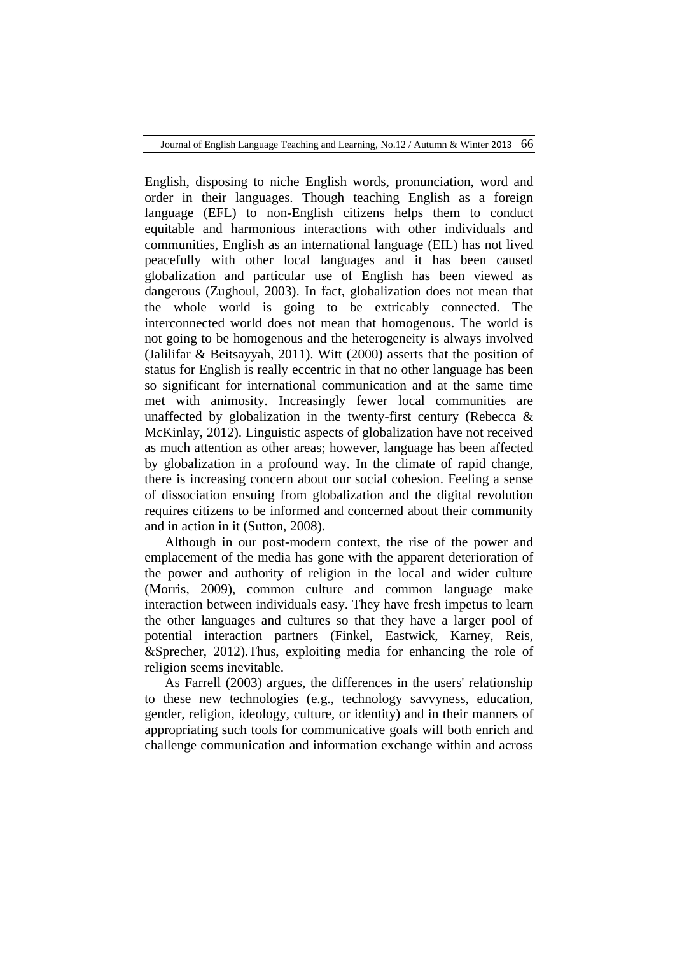English, disposing to niche English words, pronunciation, word and order in their languages. Though teaching English as a foreign language (EFL) to non-English citizens helps them to conduct equitable and harmonious interactions with other individuals and communities, English as an international language (EIL) has not lived peacefully with other local languages and it has been caused globalization and particular use of English has been viewed as dangerous (Zughoul, 2003). In fact, globalization does not mean that the whole world is going to be extricably connected. The interconnected world does not mean that homogenous. The world is not going to be homogenous and the heterogeneity is always involved (Jalilifar & Beitsayyah, 2011). Witt (2000) asserts that the position of status for English is really eccentric in that no other language has been so significant for international communication and at the same time met with animosity. Increasingly fewer local communities are unaffected by globalization in the twenty-first century (Rebecca & McKinlay, 2012). Linguistic aspects of globalization have not received as much attention as other areas; however, language has been affected by globalization in a profound way. In the climate of rapid change, there is increasing concern about our social cohesion. Feeling a sense of dissociation ensuing from globalization and the digital revolution requires citizens to be informed and concerned about their community and in action in it (Sutton, 2008).

Although in our post-modern context, the rise of the power and emplacement of the media has gone with the apparent deterioration of the power and authority of religion in the local and wider culture (Morris, 2009), common culture and common language make interaction between individuals easy. They have fresh impetus to learn the other languages and cultures so that they have a larger pool of potential interaction partners (Finkel, Eastwick, Karney, Reis, &Sprecher, 2012).Thus, exploiting media for enhancing the role of religion seems inevitable.

As Farrell (2003) argues, the differences in the users' relationship to these new technologies (e.g., technology savvyness, education, gender, religion, ideology, culture, or identity) and in their manners of appropriating such tools for communicative goals will both enrich and challenge communication and information exchange within and across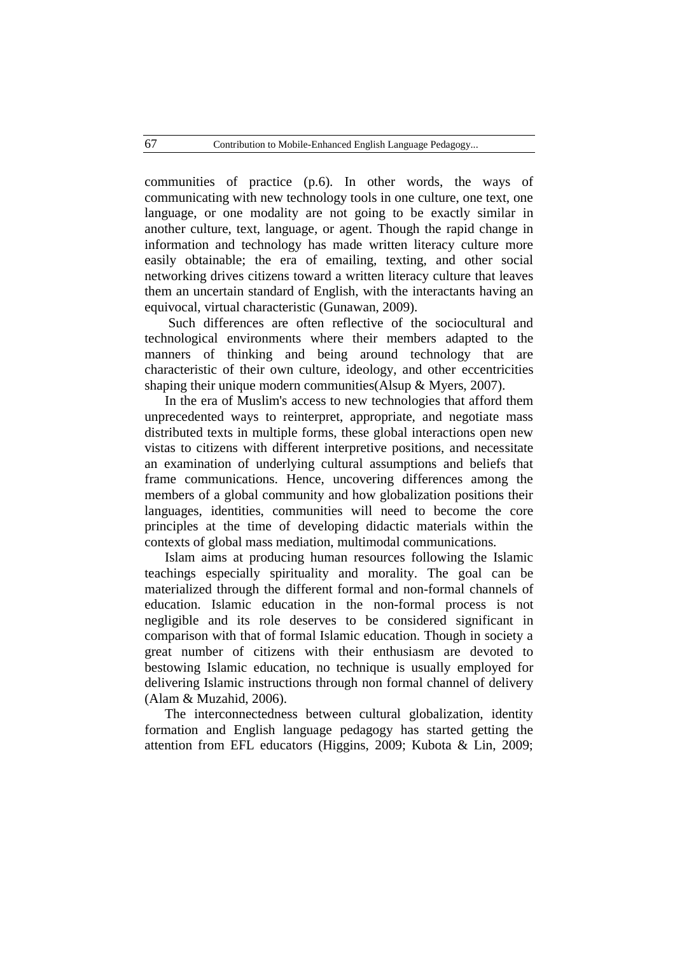communities of practice (p.6). In other words, the ways of communicating with new technology tools in one culture, one text, one language, or one modality are not going to be exactly similar in another culture, text, language, or agent. Though the rapid change in information and technology has made written literacy culture more easily obtainable; the era of emailing, texting, and other social networking drives citizens toward a written literacy culture that leaves them an uncertain standard of English, with the interactants having an equivocal, virtual characteristic (Gunawan, 2009).

Such differences are often reflective of the sociocultural and technological environments where their members adapted to the manners of thinking and being around technology that are characteristic of their own culture, ideology, and other eccentricities shaping their unique modern communities(Alsup & Myers, 2007).

In the era of Muslim's access to new technologies that afford them unprecedented ways to reinterpret, appropriate, and negotiate mass distributed texts in multiple forms, these global interactions open new vistas to citizens with different interpretive positions, and necessitate an examination of underlying cultural assumptions and beliefs that frame communications. Hence, uncovering differences among the members of a global community and how globalization positions their languages, identities, communities will need to become the core principles at the time of developing didactic materials within the contexts of global mass mediation, multimodal communications.

Islam aims at producing human resources following the Islamic teachings especially spirituality and morality. The goal can be materialized through the different formal and non-formal channels of education. Islamic education in the non-formal process is not negligible and its role deserves to be considered significant in comparison with that of formal Islamic education. Though in society a great number of citizens with their enthusiasm are devoted to bestowing Islamic education, no technique is usually employed for delivering Islamic instructions through non formal channel of delivery (Alam & Muzahid, 2006).

The interconnectedness between cultural globalization, identity formation and English language pedagogy has started getting the attention from EFL educators (Higgins, 2009; Kubota & Lin, 2009;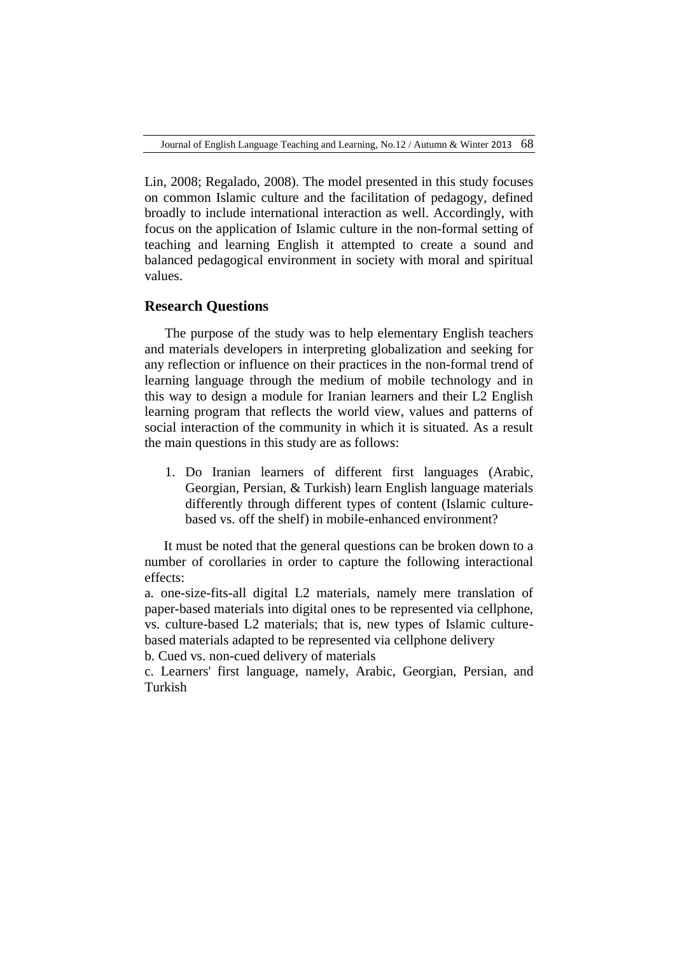Lin, 2008; Regalado, 2008). The model presented in this study focuses on common Islamic culture and the facilitation of pedagogy, defined broadly to include international interaction as well. Accordingly, with focus on the application of Islamic culture in the non-formal setting of teaching and learning English it attempted to create a sound and balanced pedagogical environment in society with moral and spiritual values.

## **Research Questions**

The purpose of the study was to help elementary English teachers and materials developers in interpreting globalization and seeking for any reflection or influence on their practices in the non-formal trend of learning language through the medium of mobile technology and in this way to design a module for Iranian learners and their L2 English learning program that reflects the world view, values and patterns of social interaction of the community in which it is situated. As a result the main questions in this study are as follows:

1. Do Iranian learners of different first languages (Arabic, Georgian, Persian, & Turkish) learn English language materials differently through different types of content (Islamic culturebased vs. off the shelf) in mobile-enhanced environment?

It must be noted that the general questions can be broken down to a number of corollaries in order to capture the following interactional effects:

a. one-size-fits-all digital L2 materials, namely mere translation of paper-based materials into digital ones to be represented via cellphone, vs. culture-based L2 materials; that is, new types of Islamic culturebased materials adapted to be represented via cellphone delivery b. Cued vs. non-cued delivery of materials

c. Learners' first language, namely, Arabic, Georgian, Persian, and Turkish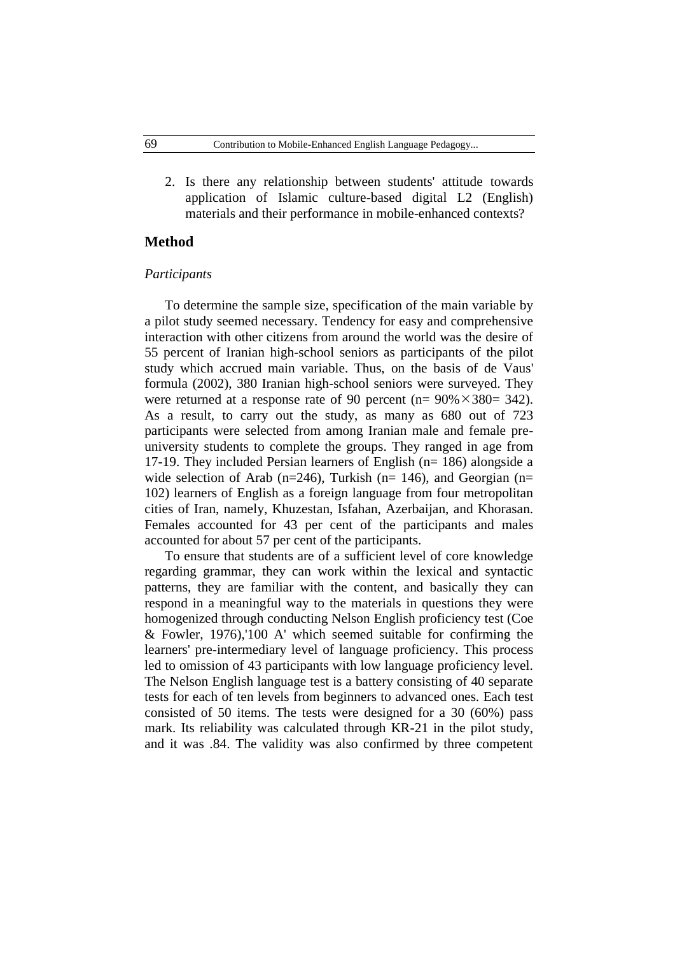2. Is there any relationship between students' attitude towards application of Islamic culture-based digital L2 (English) materials and their performance in mobile-enhanced contexts?

### **Method**

#### *Participants*

To determine the sample size, specification of the main variable by a pilot study seemed necessary. Tendency for easy and comprehensive interaction with other citizens from around the world was the desire of 55 percent of Iranian high-school seniors as participants of the pilot study which accrued main variable. Thus, on the basis of de Vaus' formula (2002), 380 Iranian high-school seniors were surveyed. They were returned at a response rate of 90 percent (n=  $90\% \times 380= 342$ ). As a result, to carry out the study, as many as 680 out of 723 participants were selected from among Iranian male and female preuniversity students to complete the groups. They ranged in age from 17-19. They included Persian learners of English (n= 186) alongside a wide selection of Arab (n=246), Turkish (n= 146), and Georgian (n= 102) learners of English as a foreign language from four metropolitan cities of Iran, namely, Khuzestan, Isfahan, Azerbaijan, and Khorasan. Females accounted for 43 per cent of the participants and males accounted for about 57 per cent of the participants.

To ensure that students are of a sufficient level of core knowledge regarding grammar, they can work within the lexical and syntactic patterns, they are familiar with the content, and basically they can respond in a meaningful way to the materials in questions they were homogenized through conducting Nelson English proficiency test (Coe & Fowler, 1976),'100 A' which seemed suitable for confirming the learners' pre-intermediary level of language proficiency. This process led to omission of 43 participants with low language proficiency level. The Nelson English language test is a battery consisting of 40 separate tests for each of ten levels from beginners to advanced ones. Each test consisted of 50 items. The tests were designed for a 30 (60%) pass mark. Its reliability was calculated through KR-21 in the pilot study, and it was .84. The validity was also confirmed by three competent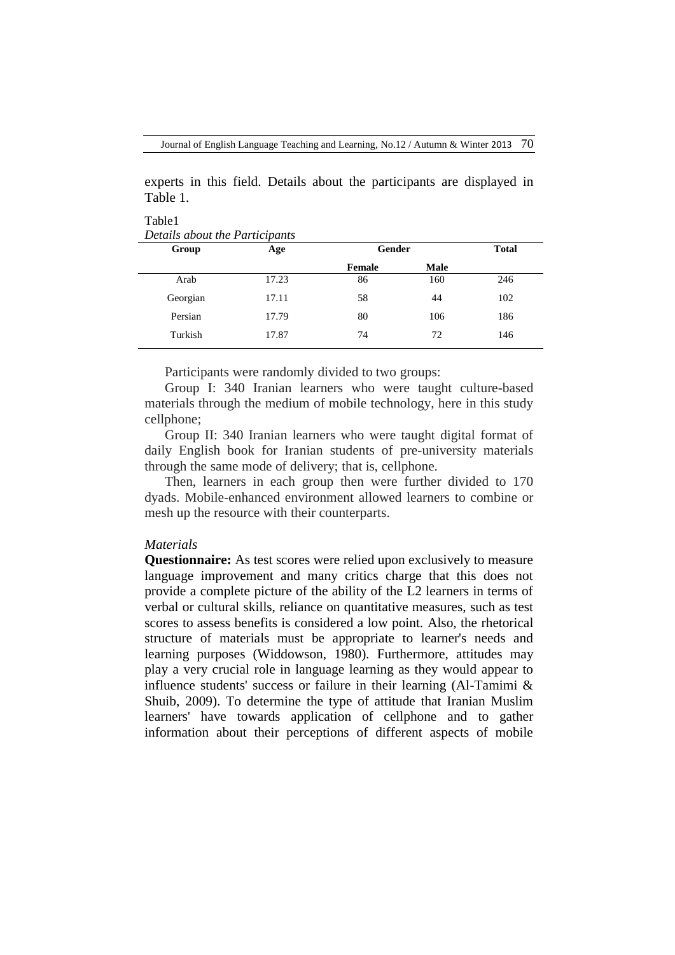experts in this field. Details about the participants are displayed in Table 1.

Table1 *Details about the Participants*

| Group    | Age   | Gender |             |     |  | <b>Total</b> |
|----------|-------|--------|-------------|-----|--|--------------|
|          |       | Female | <b>Male</b> |     |  |              |
| Arab     | 17.23 | 86     | 160         | 246 |  |              |
| Georgian | 17.11 | 58     | 44          | 102 |  |              |
| Persian  | 17.79 | 80     | 106         | 186 |  |              |
| Turkish  | 17.87 | 74     | 72          | 146 |  |              |

Participants were randomly divided to two groups:

Group I: 340 Iranian learners who were taught culture-based materials through the medium of mobile technology, here in this study cellphone;

Group II: 340 Iranian learners who were taught digital format of daily English book for Iranian students of pre-university materials through the same mode of delivery; that is, cellphone.

Then, learners in each group then were further divided to 170 dyads. Mobile-enhanced environment allowed learners to combine or mesh up the resource with their counterparts.

## *Materials*

**Questionnaire:** As test scores were relied upon exclusively to measure language improvement and many critics charge that this does not provide a complete picture of the ability of the L2 learners in terms of verbal or cultural skills, reliance on quantitative measures, such as test scores to assess benefits is considered a low point. Also, the rhetorical structure of materials must be appropriate to learner's needs and learning purposes (Widdowson, 1980). Furthermore, attitudes may play a very crucial role in language learning as they would appear to influence students' success or failure in their learning (Al-Tamimi & Shuib, 2009). To determine the type of attitude that Iranian Muslim learners' have towards application of cellphone and to gather information about their perceptions of different aspects of mobile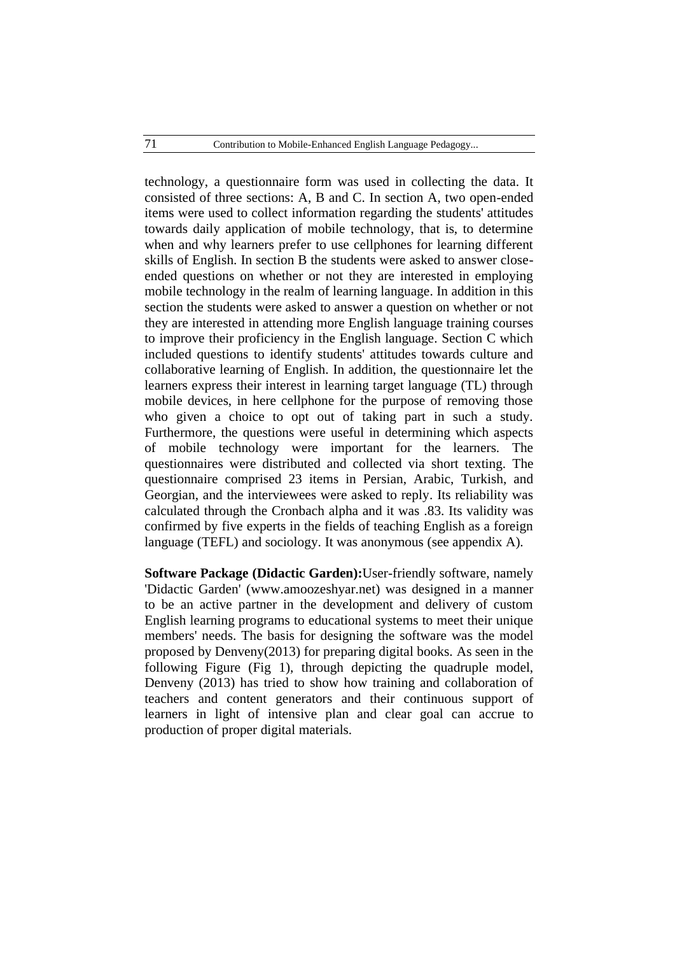technology, a questionnaire form was used in collecting the data. It consisted of three sections: A, B and C. In section A, two open-ended items were used to collect information regarding the students' attitudes towards daily application of mobile technology, that is, to determine when and why learners prefer to use cellphones for learning different skills of English. In section B the students were asked to answer closeended questions on whether or not they are interested in employing mobile technology in the realm of learning language. In addition in this section the students were asked to answer a question on whether or not they are interested in attending more English language training courses to improve their proficiency in the English language. Section C which included questions to identify students' attitudes towards culture and collaborative learning of English. In addition, the questionnaire let the learners express their interest in learning target language (TL) through mobile devices, in here cellphone for the purpose of removing those who given a choice to opt out of taking part in such a study. Furthermore, the questions were useful in determining which aspects of mobile technology were important for the learners. The questionnaires were distributed and collected via short texting. The questionnaire comprised 23 items in Persian, Arabic, Turkish, and Georgian, and the interviewees were asked to reply. Its reliability was calculated through the Cronbach alpha and it was .83. Its validity was confirmed by five experts in the fields of teaching English as a foreign language (TEFL) and sociology. It was anonymous (see appendix A).

**Software Package (Didactic Garden):**User-friendly software, namely 'Didactic Garden' [\(www.amoozeshyar.net\)](http://www.amoozeshyar.net/) was designed in a manner to be an active partner in the development and delivery of custom English learning programs to educational systems to meet their unique members' needs. The basis for designing the software was the model proposed by Denveny(2013) for preparing digital books. As seen in the following Figure (Fig 1), through depicting the quadruple model, Denveny (2013) has tried to show how training and collaboration of teachers and content generators and their continuous support of learners in light of intensive plan and clear goal can accrue to production of proper digital materials.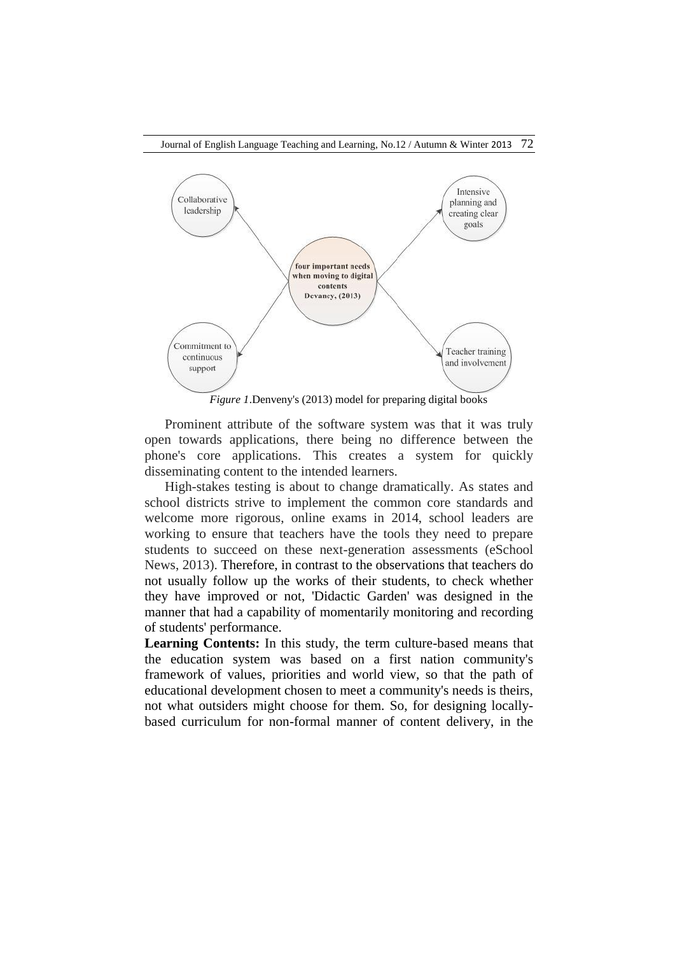

Prominent attribute of the software system was that it was truly open towards applications, there being no difference between the phone's core applications. This creates a system for quickly disseminating content to the intended learners.

High-stakes testing is about to change dramatically. As states and school districts strive to implement the common core standards and welcome more rigorous, online exams in 2014, school leaders are working to ensure that teachers have the tools they need to prepare students to succeed on these next-generation assessments (eSchool News, 2013). Therefore, in contrast to the observations that teachers do not usually follow up the works of their students, to check whether they have improved or not, 'Didactic Garden' was designed in the manner that had a capability of momentarily monitoring and recording of students' performance.

**Learning Contents:** In this study, the term culture-based means that the education system was based on a first nation community's framework of values, priorities and world view, so that the path of educational development chosen to meet a community's needs is theirs, not what outsiders might choose for them. So, for designing locallybased curriculum for non-formal manner of content delivery, in the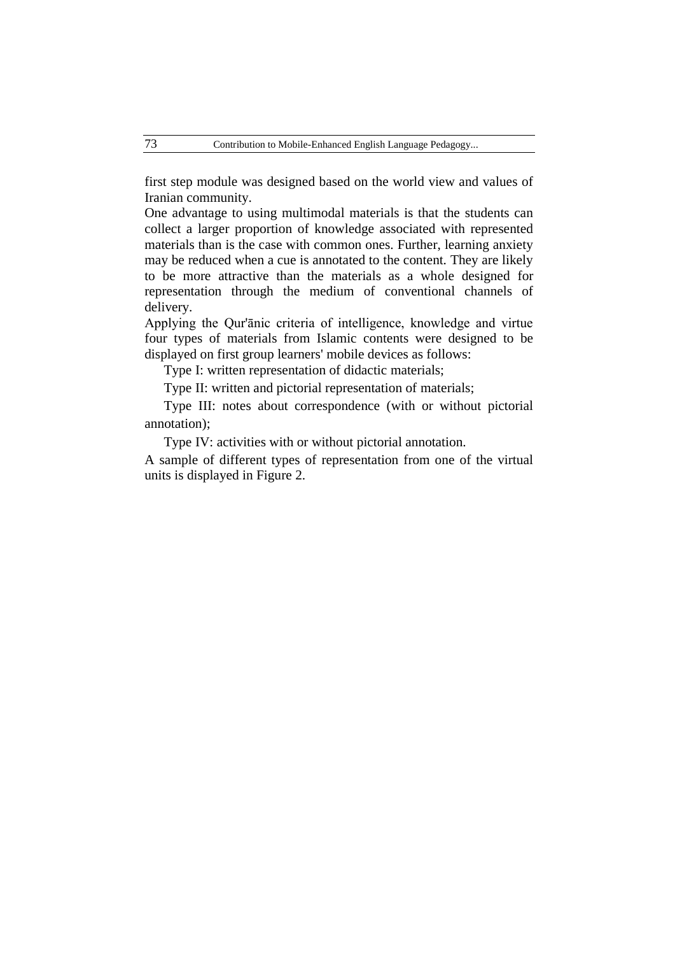first step module was designed based on the world view and values of Iranian community.

One advantage to using multimodal materials is that the students can collect a larger proportion of knowledge associated with represented materials than is the case with common ones. Further, learning anxiety may be reduced when a cue is annotated to the content. They are likely to be more attractive than the materials as a whole designed for representation through the medium of conventional channels of delivery.

Applying the Qur'ānic criteria of intelligence, knowledge and virtue four types of materials from Islamic contents were designed to be displayed on first group learners' mobile devices as follows:

Type I: written representation of didactic materials;

Type II: written and pictorial representation of materials;

Type III: notes about correspondence (with or without pictorial annotation);

Type IV: activities with or without pictorial annotation.

A sample of different types of representation from one of the virtual units is displayed in Figure 2.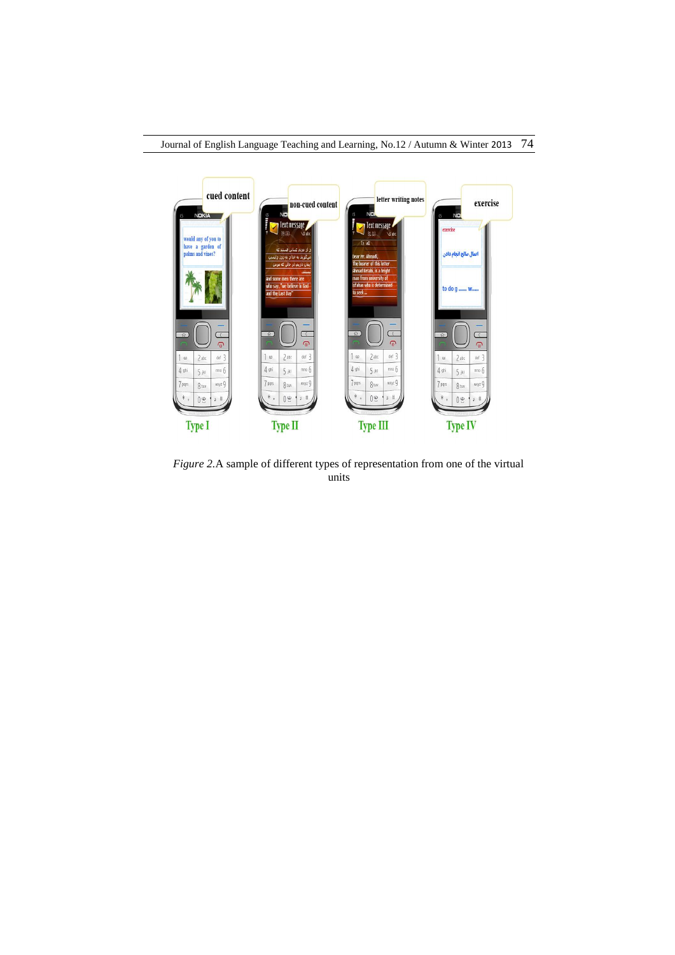

*Figure 2.*A sample of different types of representation from one of the virtual units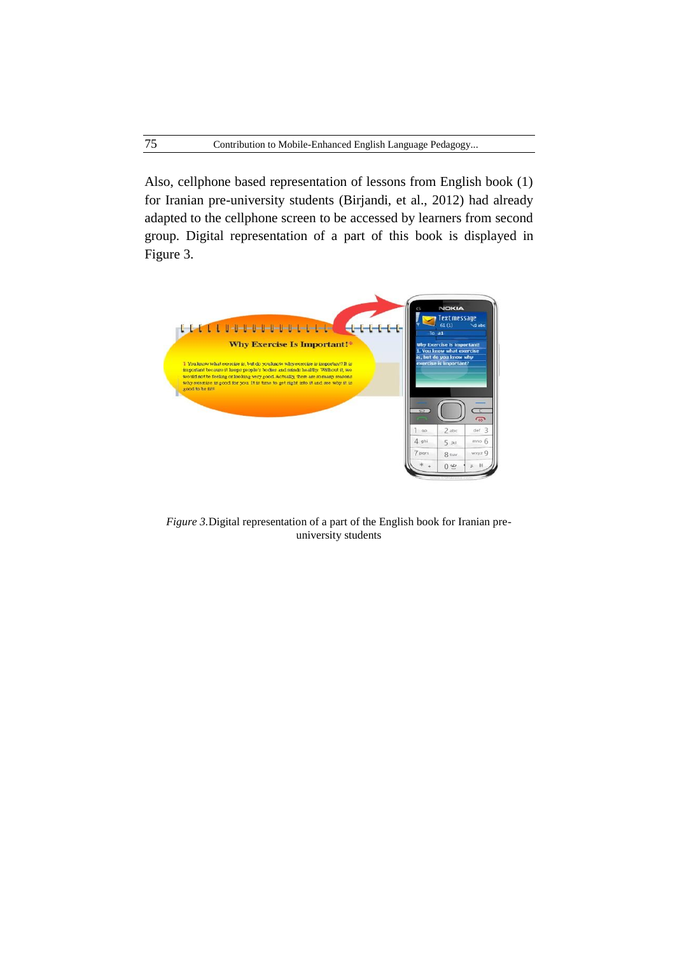Also, cellphone based representation of lessons from English book (1) for Iranian pre-university students (Birjandi, et al., 2012) had already adapted to the cellphone screen to be accessed by learners from second group. Digital representation of a part of this book is displayed in Figure 3.



*Figure 3.*Digital representation of a part of the English book for Iranian preuniversity students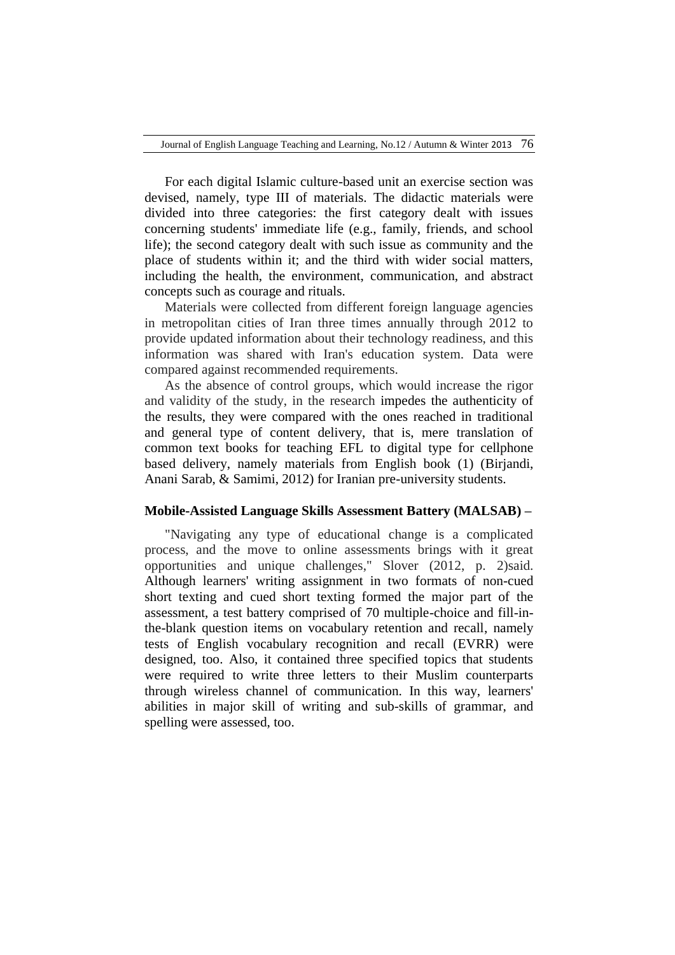For each digital Islamic culture-based unit an exercise section was devised, namely, type III of materials. The didactic materials were divided into three categories: the first category dealt with issues concerning students' immediate life (e.g., family, friends, and school life); the second category dealt with such issue as community and the place of students within it; and the third with wider social matters, including the health, the environment, communication, and abstract concepts such as courage and rituals.

Materials were collected from different foreign language agencies in metropolitan cities of Iran three times annually through 2012 to provide updated information about their technology readiness, and this information was shared with Iran's education system. Data were compared against recommended requirements.

As the absence of control groups, which would increase the rigor and validity of the study, in the research impedes the authenticity of the results, they were compared with the ones reached in traditional and general type of content delivery, that is, mere translation of common text books for teaching EFL to digital type for cellphone based delivery, namely materials from English book (1) (Birjandi, Anani Sarab, & Samimi, 2012) for Iranian pre-university students.

### **Mobile-Assisted Language Skills Assessment Battery (MALSAB) –**

"Navigating any type of educational change is a complicated process, and the move to online assessments brings with it great opportunities and unique challenges," Slover (2012, p. 2)said. Although learners' writing assignment in two formats of non-cued short texting and cued short texting formed the major part of the assessment, a test battery comprised of 70 multiple-choice and fill-inthe-blank question items on vocabulary retention and recall, namely tests of English vocabulary recognition and recall (EVRR) were designed, too. Also, it contained three specified topics that students were required to write three letters to their Muslim counterparts through wireless channel of communication. In this way, learners' abilities in major skill of writing and sub-skills of grammar, and spelling were assessed, too.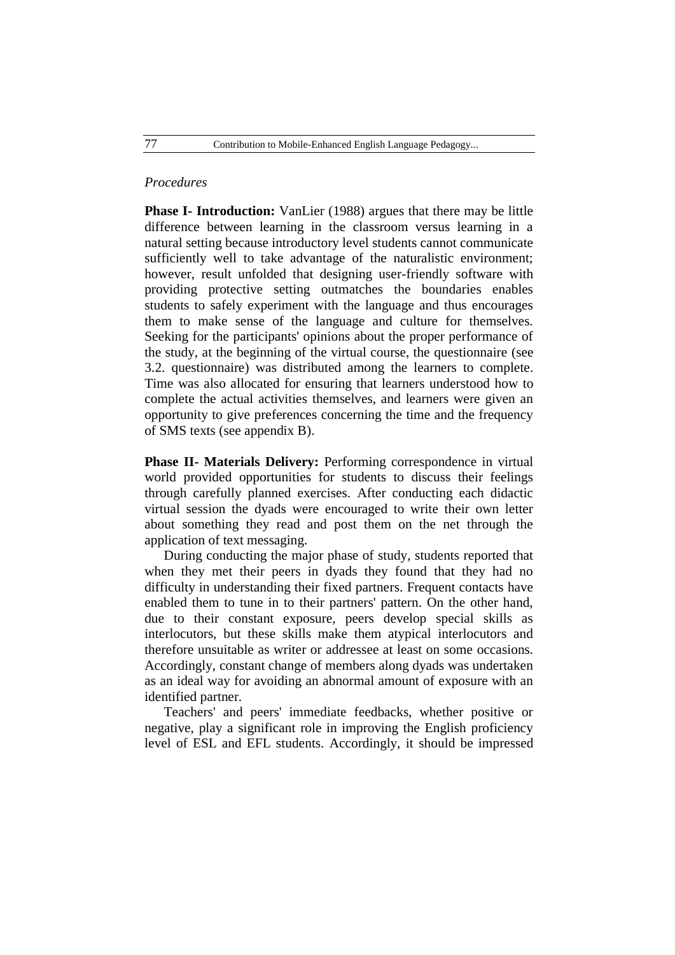### *Procedures*

**Phase I- Introduction:** VanLier (1988) argues that there may be little difference between learning in the classroom versus learning in a natural setting because introductory level students cannot communicate sufficiently well to take advantage of the naturalistic environment; however, result unfolded that designing user-friendly software with providing protective setting outmatches the boundaries enables students to safely experiment with the language and thus encourages them to make sense of the language and culture for themselves. Seeking for the participants' opinions about the proper performance of the study, at the beginning of the virtual course, the questionnaire (see 3.2. questionnaire) was distributed among the learners to complete. Time was also allocated for ensuring that learners understood how to complete the actual activities themselves, and learners were given an opportunity to give preferences concerning the time and the frequency of SMS texts (see appendix B).

**Phase II- Materials Delivery:** Performing correspondence in virtual world provided opportunities for students to discuss their feelings through carefully planned exercises. After conducting each didactic virtual session the dyads were encouraged to write their own letter about something they read and post them on the net through the application of text messaging.

During conducting the major phase of study, students reported that when they met their peers in dyads they found that they had no difficulty in understanding their fixed partners. Frequent contacts have enabled them to tune in to their partners' pattern. On the other hand, due to their constant exposure, peers develop special skills as interlocutors, but these skills make them atypical interlocutors and therefore unsuitable as writer or addressee at least on some occasions. Accordingly, constant change of members along dyads was undertaken as an ideal way for avoiding an abnormal amount of exposure with an identified partner.

Teachers' and peers' immediate feedbacks, whether positive or negative, play a significant role in improving the English proficiency level of ESL and EFL students. Accordingly, it should be impressed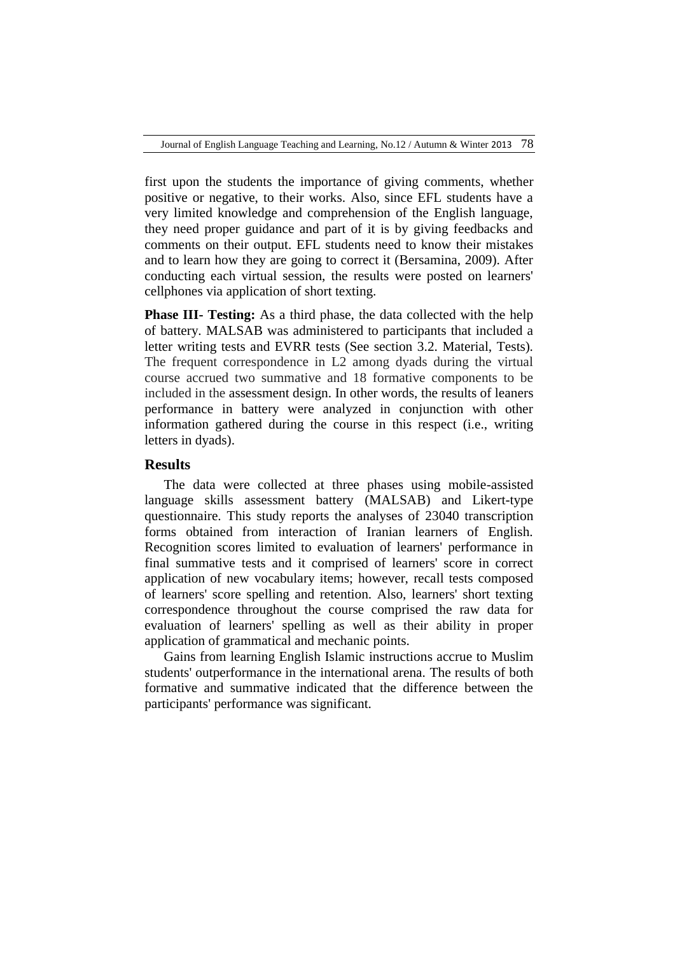first upon the students the importance of giving comments, whether positive or negative, to their works. Also, since EFL students have a very limited knowledge and comprehension of the English language, they need proper guidance and part of it is by giving feedbacks and comments on their output. EFL students need to know their mistakes and to learn how they are going to correct it (Bersamina, 2009). After conducting each virtual session, the results were posted on learners' cellphones via application of short texting.

**Phase III- Testing:** As a third phase, the data collected with the help of battery. MALSAB was administered to participants that included a letter writing tests and EVRR tests (See section 3.2. Material, Tests). The frequent correspondence in L2 among dyads during the virtual course accrued two summative and 18 formative components to be included in the assessment design. In other words, the results of leaners performance in battery were analyzed in conjunction with other information gathered during the course in this respect (i.e., writing letters in dyads).

## **Results**

The data were collected at three phases using mobile-assisted language skills assessment battery (MALSAB) and Likert-type questionnaire. This study reports the analyses of 23040 transcription forms obtained from interaction of Iranian learners of English. Recognition scores limited to evaluation of learners' performance in final summative tests and it comprised of learners' score in correct application of new vocabulary items; however, recall tests composed of learners' score spelling and retention. Also, learners' short texting correspondence throughout the course comprised the raw data for evaluation of learners' spelling as well as their ability in proper application of grammatical and mechanic points.

Gains from learning English Islamic instructions accrue to Muslim students' outperformance in the international arena. The results of both formative and summative indicated that the difference between the participants' performance was significant.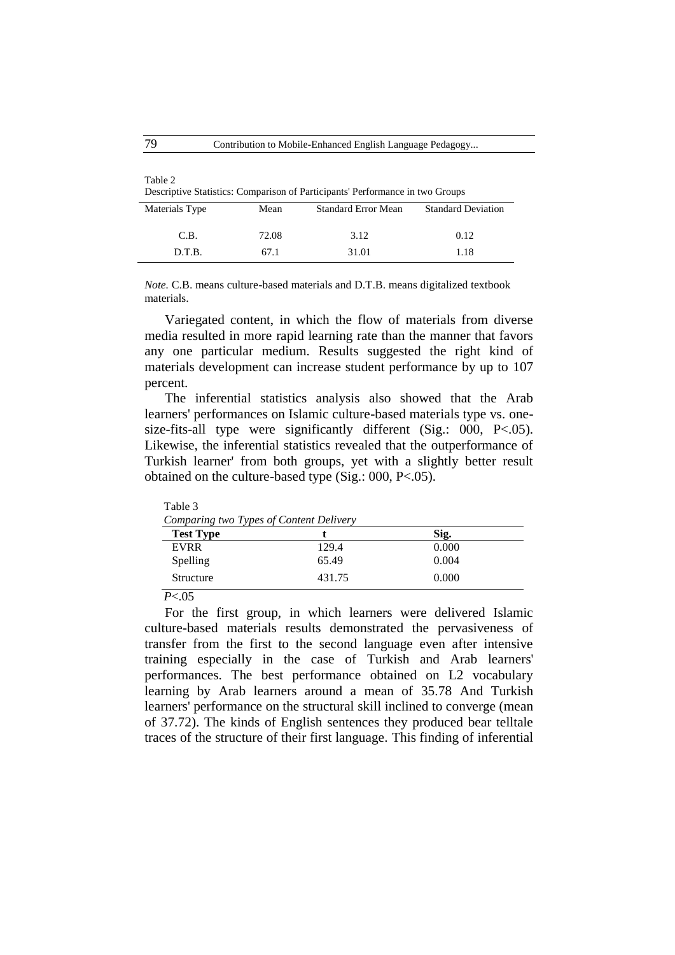| Table 2                                                                       |
|-------------------------------------------------------------------------------|
| Descriptive Statistics: Comparison of Participants' Performance in two Groups |

| Materials Type | Mean  | <b>Standard Error Mean</b> | <b>Standard Deviation</b> |
|----------------|-------|----------------------------|---------------------------|
| C.B.           | 72.08 | 3.12                       | 0.12                      |
| D.T.B.         | 67.1  | 31.01                      | 1.18                      |

*Note.* C.B. means culture-based materials and D.T.B. means digitalized textbook materials.

Variegated content, in which the flow of materials from diverse media resulted in more rapid learning rate than the manner that favors any one particular medium. Results suggested the right kind of materials development can increase student performance by up to 107 percent.

The inferential statistics analysis also showed that the Arab learners' performances on Islamic culture-based materials type vs. onesize-fits-all type were significantly different (Sig.: 000, P<.05). Likewise, the inferential statistics revealed that the outperformance of Turkish learner' from both groups, yet with a slightly better result obtained on the culture-based type (Sig.: 000, P<.05).

| Comparing two Types of Content Delivery |        |       |  |  |  |  |
|-----------------------------------------|--------|-------|--|--|--|--|
| <b>Test Type</b>                        |        | Sig.  |  |  |  |  |
| <b>EVRR</b>                             | 129.4  | 0.000 |  |  |  |  |
| Spelling                                | 65.49  | 0.004 |  |  |  |  |
| Structure                               | 431.75 | 0.000 |  |  |  |  |

*P*<.05

Table 3

For the first group, in which learners were delivered Islamic culture-based materials results demonstrated the pervasiveness of transfer from the first to the second language even after intensive training especially in the case of Turkish and Arab learners' performances. The best performance obtained on L2 vocabulary learning by Arab learners around a mean of 35.78 And Turkish learners' performance on the structural skill inclined to converge (mean of 37.72). The kinds of English sentences they produced bear telltale traces of the structure of their first language. This finding of inferential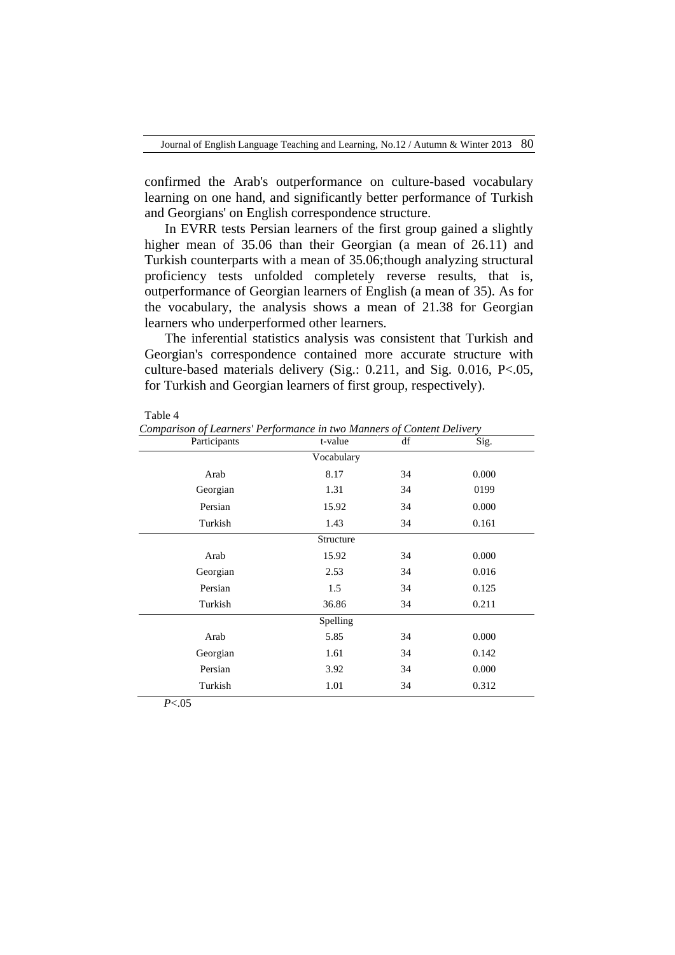confirmed the Arab's outperformance on culture-based vocabulary learning on one hand, and significantly better performance of Turkish and Georgians' on English correspondence structure.

In EVRR tests Persian learners of the first group gained a slightly higher mean of 35.06 than their Georgian (a mean of 26.11) and Turkish counterparts with a mean of 35.06;though analyzing structural proficiency tests unfolded completely reverse results, that is, outperformance of Georgian learners of English (a mean of 35). As for the vocabulary, the analysis shows a mean of 21.38 for Georgian learners who underperformed other learners.

The inferential statistics analysis was consistent that Turkish and Georgian's correspondence contained more accurate structure with culture-based materials delivery (Sig.: 0.211, and Sig. 0.016, P<.05, for Turkish and Georgian learners of first group, respectively).

| г<br>. . |  |
|----------|--|
|----------|--|

*Comparison of Learners' Performance in two Manners of Content Delivery*

| Participants | t-value    | df | Sig.  |
|--------------|------------|----|-------|
|              | Vocabulary |    |       |
| Arab         | 8.17       | 34 | 0.000 |
| Georgian     | 1.31       | 34 | 0199  |
| Persian      | 15.92      | 34 | 0.000 |
| Turkish      | 1.43       | 34 | 0.161 |
|              | Structure  |    |       |
| Arab         | 15.92      | 34 | 0.000 |
| Georgian     | 2.53       | 34 | 0.016 |
| Persian      | 1.5        | 34 | 0.125 |
| Turkish      | 36.86      | 34 | 0.211 |
|              | Spelling   |    |       |
| Arab         | 5.85       | 34 | 0.000 |
| Georgian     | 1.61       | 34 | 0.142 |
| Persian      | 3.92       | 34 | 0.000 |
| Turkish      | 1.01       | 34 | 0.312 |

*P*<.05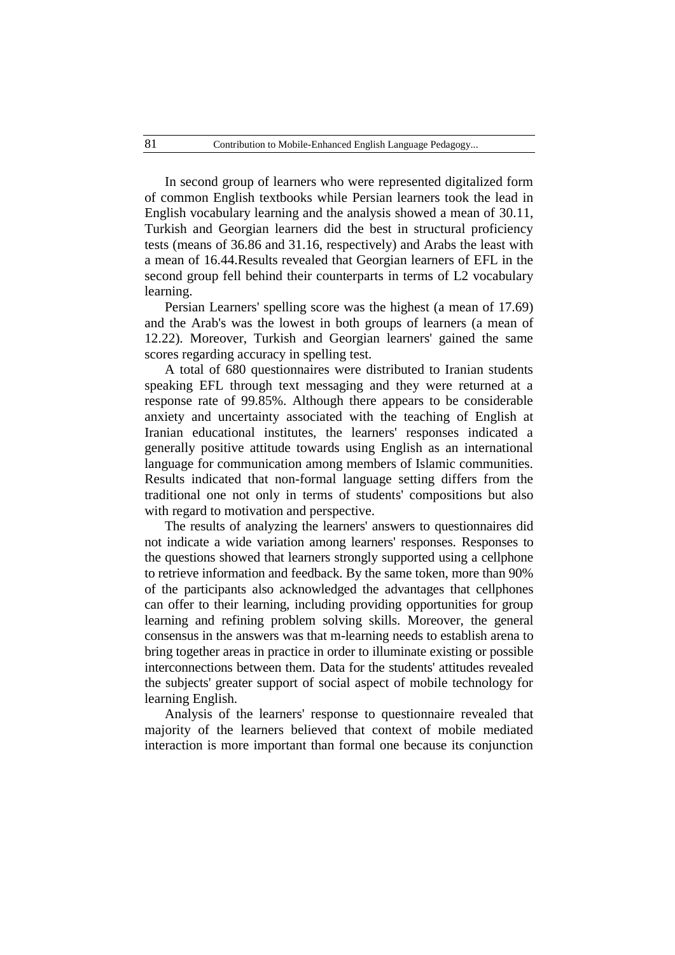In second group of learners who were represented digitalized form of common English textbooks while Persian learners took the lead in English vocabulary learning and the analysis showed a mean of 30.11, Turkish and Georgian learners did the best in structural proficiency tests (means of 36.86 and 31.16, respectively) and Arabs the least with a mean of 16.44.Results revealed that Georgian learners of EFL in the second group fell behind their counterparts in terms of L2 vocabulary learning.

Persian Learners' spelling score was the highest (a mean of 17.69) and the Arab's was the lowest in both groups of learners (a mean of 12.22). Moreover, Turkish and Georgian learners' gained the same scores regarding accuracy in spelling test.

A total of 680 questionnaires were distributed to Iranian students speaking EFL through text messaging and they were returned at a response rate of 99.85%. Although there appears to be considerable anxiety and uncertainty associated with the teaching of English at Iranian educational institutes, the learners' responses indicated a generally positive attitude towards using English as an international language for communication among members of Islamic communities. Results indicated that non-formal language setting differs from the traditional one not only in terms of students' compositions but also with regard to motivation and perspective.

The results of analyzing the learners' answers to questionnaires did not indicate a wide variation among learners' responses. Responses to the questions showed that learners strongly supported using a cellphone to retrieve information and feedback. By the same token, more than 90% of the participants also acknowledged the advantages that cellphones can offer to their learning, including providing opportunities for group learning and refining problem solving skills. Moreover, the general consensus in the answers was that m-learning needs to establish arena to bring together areas in practice in order to illuminate existing or possible interconnections between them. Data for the students' attitudes revealed the subjects' greater support of social aspect of mobile technology for learning English.

Analysis of the learners' response to questionnaire revealed that majority of the learners believed that context of mobile mediated interaction is more important than formal one because its conjunction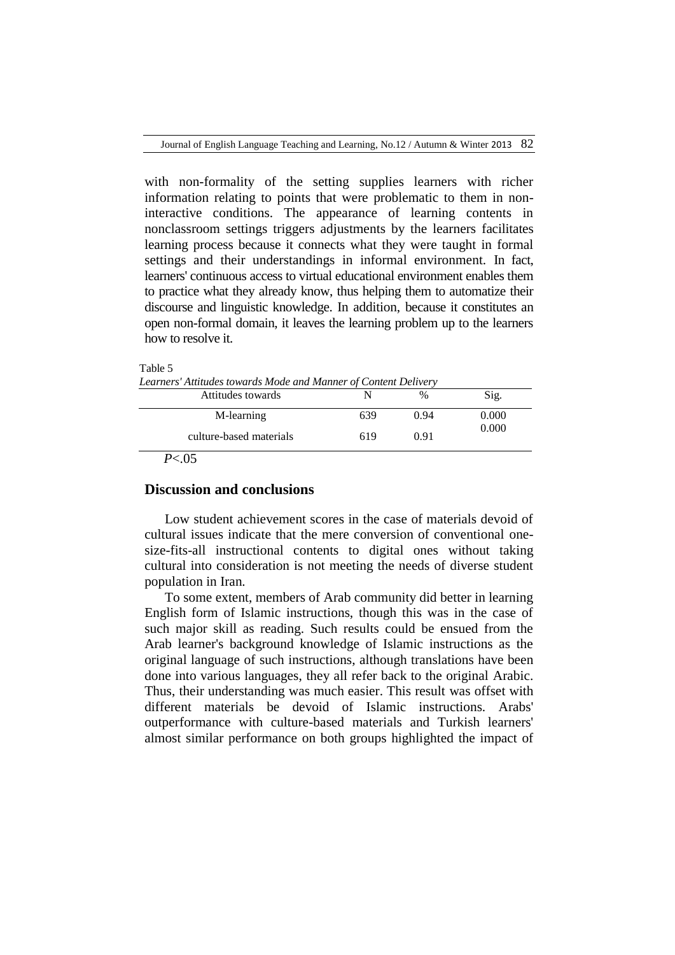with non-formality of the setting supplies learners with richer information relating to points that were problematic to them in noninteractive conditions. The appearance of learning contents in nonclassroom settings triggers adjustments by the learners facilitates learning process because it connects what they were taught in formal settings and their understandings in informal environment. In fact, learners' continuous access to virtual educational environment enables them to practice what they already know, thus helping them to automatize their discourse and linguistic knowledge. In addition, because it constitutes an open non-formal domain, it leaves the learning problem up to the learners how to resolve it.

#### Table 5

*Learners' Attitudes towards Mode and Manner of Content Delivery*

| Attitudes towards       |     | %    | Sig.  |
|-------------------------|-----|------|-------|
| M-learning              | 639 | 0.94 | 0.000 |
| culture-based materials | 619 | 0.91 | 0.000 |

*P*<.05

## **Discussion and conclusions**

Low student achievement scores in the case of materials devoid of cultural issues indicate that the mere conversion of conventional onesize-fits-all instructional contents to digital ones without taking cultural into consideration is not meeting the needs of diverse student population in Iran.

To some extent, members of Arab community did better in learning English form of Islamic instructions, though this was in the case of such major skill as reading. Such results could be ensued from the Arab learner's background knowledge of Islamic instructions as the original language of such instructions, although translations have been done into various languages, they all refer back to the original Arabic. Thus, their understanding was much easier. This result was offset with different materials be devoid of Islamic instructions. Arabs' outperformance with culture-based materials and Turkish learners' almost similar performance on both groups highlighted the impact of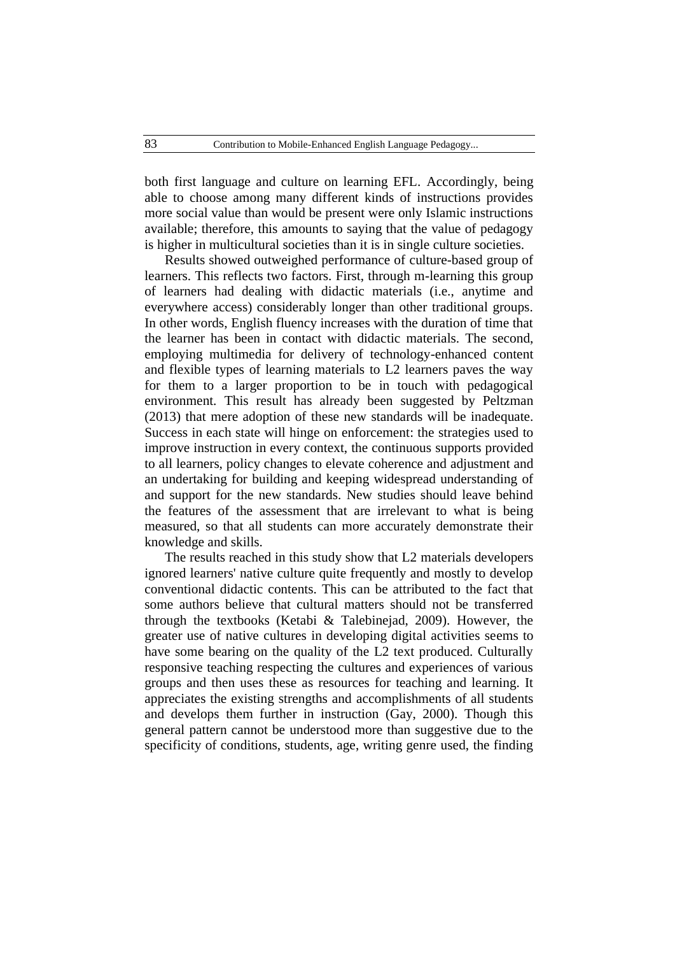both first language and culture on learning EFL. Accordingly, being able to choose among many different kinds of instructions provides more social value than would be present were only Islamic instructions available; therefore, this amounts to saying that the value of pedagogy is higher in multicultural societies than it is in single culture societies.

Results showed outweighed performance of culture-based group of learners. This reflects two factors. First, through m-learning this group of learners had dealing with didactic materials (i.e., anytime and everywhere access) considerably longer than other traditional groups. In other words, English fluency increases with the duration of time that the learner has been in contact with didactic materials. The second, employing multimedia for delivery of technology-enhanced content and flexible types of learning materials to L2 learners paves the way for them to a larger proportion to be in touch with pedagogical environment. This result has already been suggested by Peltzman (2013) that mere adoption of these new standards will be inadequate. Success in each state will hinge on enforcement: the strategies used to improve instruction in every context, the continuous supports provided to all learners, policy changes to elevate coherence and adjustment and an undertaking for building and keeping widespread understanding of and support for the new standards. New studies should leave behind the features of the assessment that are irrelevant to what is being measured, so that all students can more accurately demonstrate their knowledge and skills.

The results reached in this study show that L2 materials developers ignored learners' native culture quite frequently and mostly to develop conventional didactic contents. This can be attributed to the fact that some authors believe that cultural matters should not be transferred through the textbooks (Ketabi & Talebinejad, 2009). However, the greater use of native cultures in developing digital activities seems to have some bearing on the quality of the L2 text produced. Culturally responsive teaching respecting the cultures and experiences of various groups and then uses these as resources for teaching and learning. It appreciates the existing strengths and accomplishments of all students and develops them further in instruction (Gay, 2000). Though this general pattern cannot be understood more than suggestive due to the specificity of conditions, students, age, writing genre used, the finding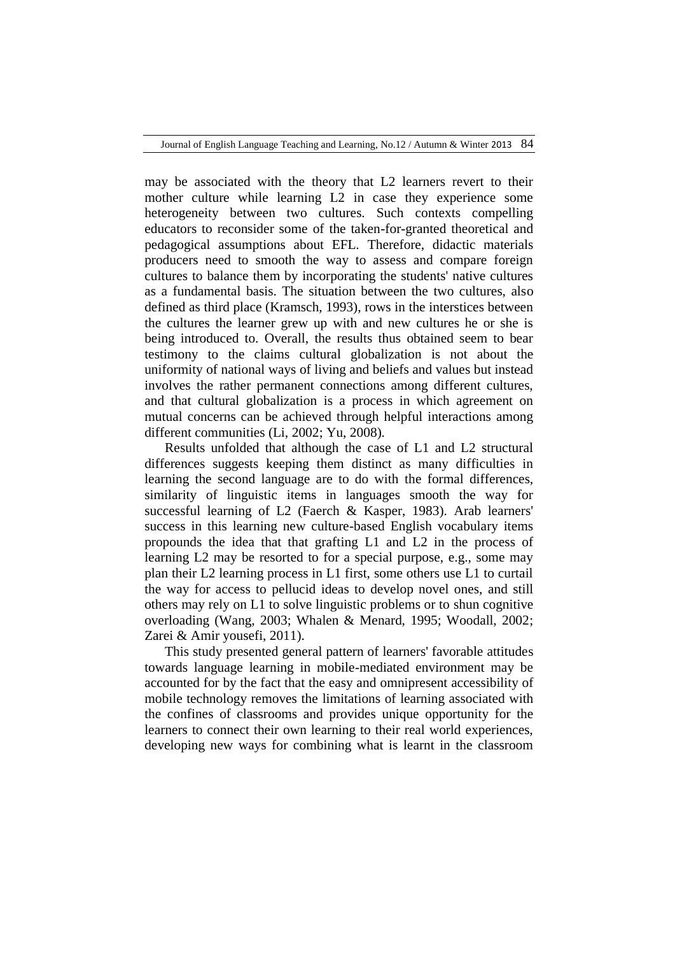may be associated with the theory that L2 learners revert to their mother culture while learning L2 in case they experience some heterogeneity between two cultures. Such contexts compelling educators to reconsider some of the taken-for-granted theoretical and pedagogical assumptions about EFL. Therefore, didactic materials producers need to smooth the way to assess and compare foreign cultures to balance them by incorporating the students' native cultures as a fundamental basis. The situation between the two cultures, also defined as third place (Kramsch, 1993), rows in the interstices between the cultures the learner grew up with and new cultures he or she is being introduced to. Overall, the results thus obtained seem to bear testimony to the claims cultural globalization is not about the uniformity of national ways of living and beliefs and values but instead involves the rather permanent connections among different cultures, and that cultural globalization is a process in which agreement on mutual concerns can be achieved through helpful interactions among different communities (Li, 2002; Yu, 2008).

Results unfolded that although the case of L1 and L2 structural differences suggests keeping them distinct as many difficulties in learning the second language are to do with the formal differences, similarity of linguistic items in languages smooth the way for successful learning of L2 (Faerch & Kasper, 1983). Arab learners' success in this learning new culture-based English vocabulary items propounds the idea that that grafting L1 and L2 in the process of learning L2 may be resorted to for a special purpose, e.g., some may plan their L2 learning process in L1 first, some others use L1 to curtail the way for access to pellucid ideas to develop novel ones, and still others may rely on L1 to solve linguistic problems or to shun cognitive overloading (Wang, 2003; Whalen & Menard, 1995; Woodall, 2002; Zarei & Amir yousefi, 2011).

This study presented general pattern of learners' favorable attitudes towards language learning in mobile-mediated environment may be accounted for by the fact that the easy and omnipresent accessibility of mobile technology removes the limitations of learning associated with the confines of classrooms and provides unique opportunity for the learners to connect their own learning to their real world experiences, developing new ways for combining what is learnt in the classroom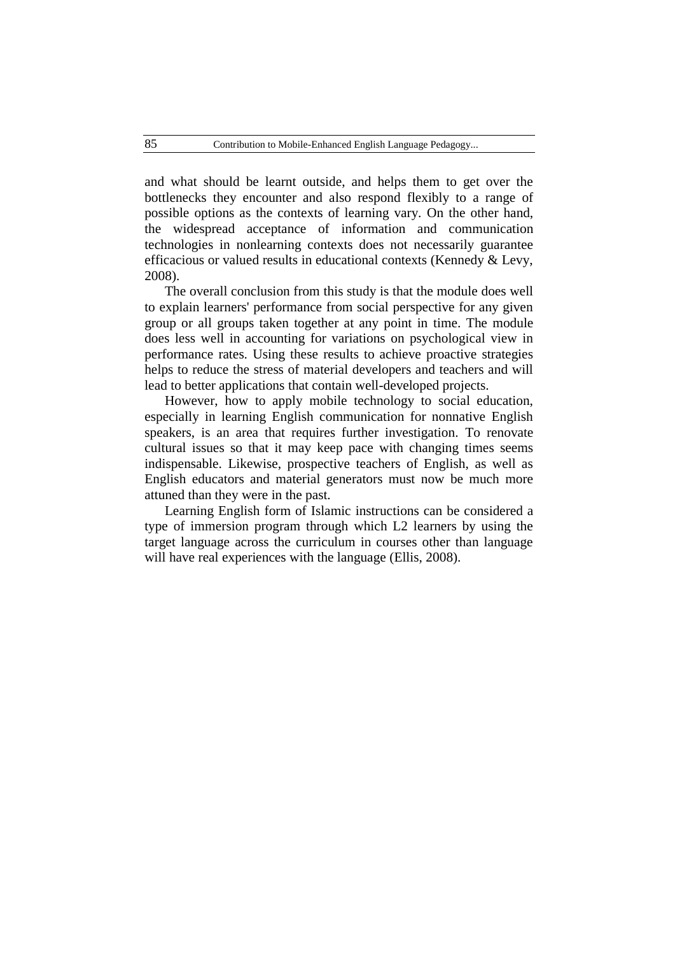and what should be learnt outside, and helps them to get over the bottlenecks they encounter and also respond flexibly to a range of possible options as the contexts of learning vary. On the other hand, the widespread acceptance of information and communication technologies in nonlearning contexts does not necessarily guarantee efficacious or valued results in educational contexts (Kennedy & Levy, 2008).

The overall conclusion from this study is that the module does well to explain learners' performance from social perspective for any given group or all groups taken together at any point in time. The module does less well in accounting for variations on psychological view in performance rates. Using these results to achieve proactive strategies helps to reduce the stress of material developers and teachers and will lead to better applications that contain well-developed projects.

However, how to apply mobile technology to social education, especially in learning English communication for nonnative English speakers, is an area that requires further investigation. To renovate cultural issues so that it may keep pace with changing times seems indispensable. Likewise, prospective teachers of English, as well as English educators and material generators must now be much more attuned than they were in the past.

Learning English form of Islamic instructions can be considered a type of immersion program through which L2 learners by using the target language across the curriculum in courses other than language will have real experiences with the language (Ellis, 2008).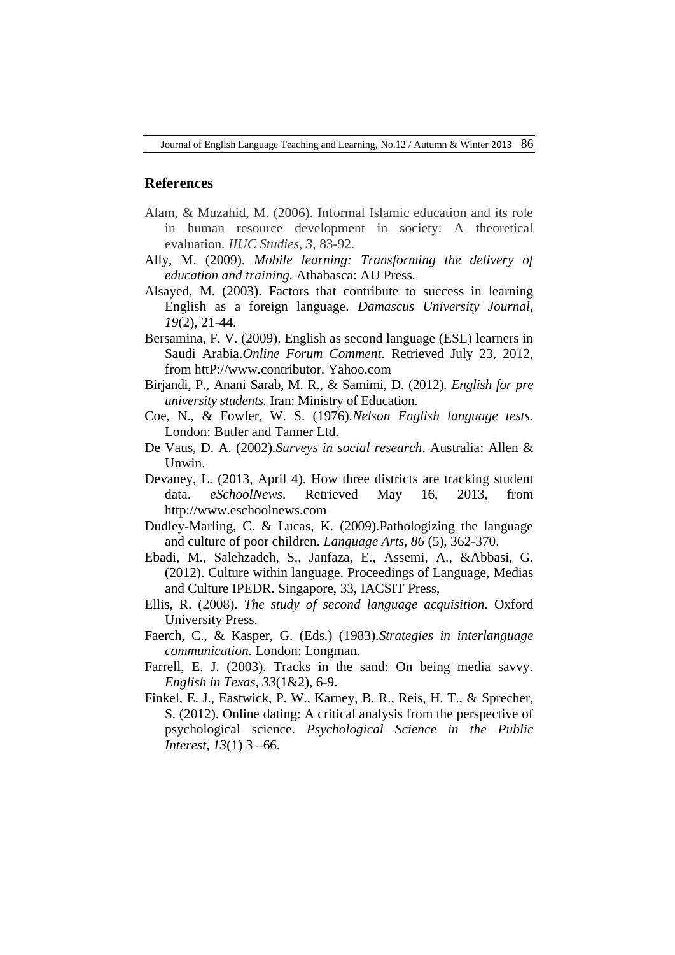### **References**

- Alam, & Muzahid, M. (2006). Informal Islamic education and its role in human resource development in society: A theoretical evaluation. *IIUC Studies, 3*, 83-92.
- Ally, M. (2009). *Mobile learning: Transforming the delivery of education and training.* Athabasca: AU Press.
- Alsayed, M. (2003). Factors that contribute to success in learning English as a foreign language. *Damascus University Journal, 19*(2), 21-44.
- Bersamina, F. V. (2009). English as second language (ESL) learners in Saudi Arabia.*Online Forum Comment*. Retrieved July 23, 2012, from httP://www.contributor. Yahoo.com
- Birjandi, P., Anani Sarab, M. R., & Samimi, D. (2012). *English for pre university students.* Iran: Ministry of Education.
- Coe, N., & Fowler, W. S. (1976).*Nelson English language tests.* London: Butler and Tanner Ltd.
- De Vaus, D. A. (2002).*Surveys in social research*. Australia: Allen & Unwin.
- [Devaney,](http://www.eschoolnews.com/author/ldevaney/) L. (2013, April 4). How three districts are tracking student data. *eSchoolNews*. Retrieved May 16, 2013, from http://www.eschoolnews.com
- Dudley-Marling, C. & Lucas, K. (2009).Pathologizing the language and culture of poor children. *Language Arts, 86* (5), 362-370.
- Ebadi, M., Salehzadeh, S., Janfaza, E., Assemi, A., &Abbasi, G. (2012). Culture within language. Proceedings of Language, Medias and Culture IPEDR. Singapore, 33, IACSIT Press,
- Ellis, R. (2008). *The study of second language acquisition*. Oxford University Press.
- Faerch, C., & Kasper, G. (Eds.) (1983).*Strategies in interlanguage communication.* London: Longman.
- Farrell, E. J. (2003). Tracks in the sand: On being media savvy. *English in Texas, 33*(1&2), 6-9.
- Finkel, E. J., Eastwick, P. W., Karney, B. R., Reis, H. T., & Sprecher, S. (2012). Online dating: A critical analysis from the perspective of psychological science. *Psychological Science in the Public Interest, 13*(1) 3 –66.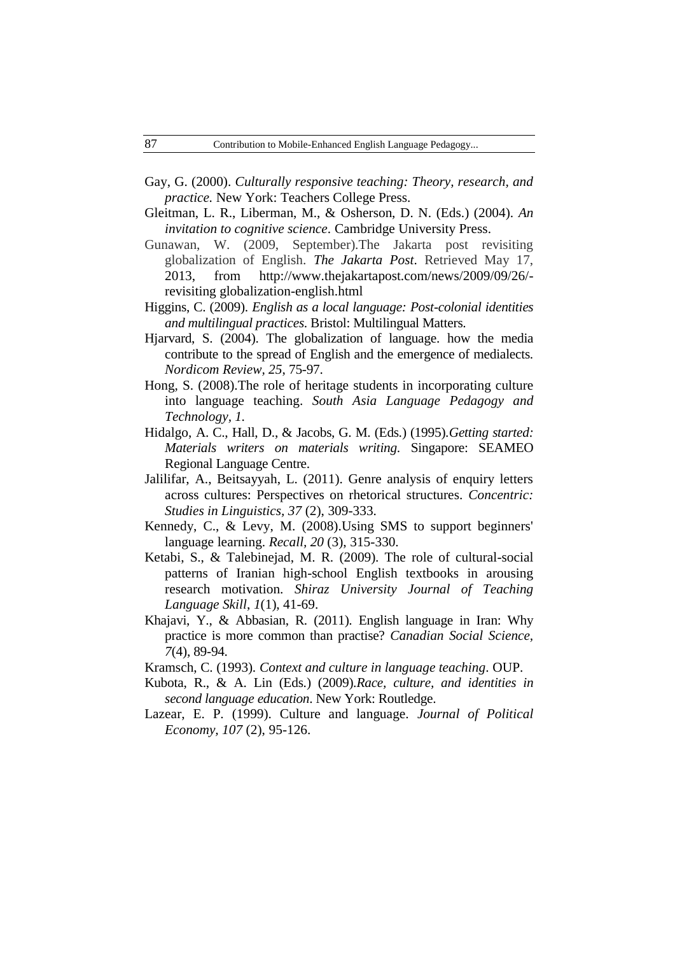- Gay, G. (2000). *Culturally responsive teaching: Theory, research, and practice.* New York: Teachers College Press.
- Gleitman, L. R., Liberman, M., & Osherson, D. N. (Eds.) (2004). *An invitation to cognitive science*. Cambridge University Press.
- Gunawan, W. (2009, September).The Jakarta post revisiting globalization of English. *The Jakarta Post*. Retrieved May 17, 2013, from [http://www.thejakartapost.com/news/2009/09/26/](http://www.thejakartapost.com/news/2009/09/26/-revisiting) [revisiting](http://www.thejakartapost.com/news/2009/09/26/-revisiting) globalization-english.html
- Higgins, C. (2009). *English as a local language: Post-colonial identities and multilingual practices*. Bristol: Multilingual Matters.
- Hjarvard, S. (2004). The globalization of language. how the media contribute to the spread of English and the emergence of medialects. *Nordicom Review, 25*, 75-97.
- Hong, S. (2008).The role of heritage students in incorporating culture into language teaching. *South Asia Language Pedagogy and Technology, 1.*
- Hidalgo, A. C., Hall, D., & Jacobs, G. M. (Eds.) (1995).*Getting started: Materials writers on materials writing*. Singapore: SEAMEO Regional Language Centre.
- Jalilifar, A., Beitsayyah, L. (2011). Genre analysis of enquiry letters across cultures: Perspectives on rhetorical structures. *Concentric: Studies in Linguistics, 37* (2), 309-333.
- Kennedy, C., & Levy, M. (2008).Using SMS to support beginners' language learning. *Recall, 20* (3), 315-330.
- Ketabi, S., & Talebinejad, M. R. (2009). The role of cultural-social patterns of Iranian high-school English textbooks in arousing research motivation. *Shiraz University Journal of Teaching Language Skill*, *1*(1), 41-69.
- Khajavi, Y., & Abbasian, R. (2011). English language in Iran: Why practice is more common than practise? *Canadian Social Science, 7*(4), 89-94.
- Kramsch, C. (1993). *Context and culture in language teaching*. OUP.
- Kubota, R., & A. Lin (Eds.) (2009).*Race, culture, and identities in second language education*. New York: Routledge.
- Lazear, E. P. (1999). Culture and language. *Journal of Political Economy, 107* (2), 95-126.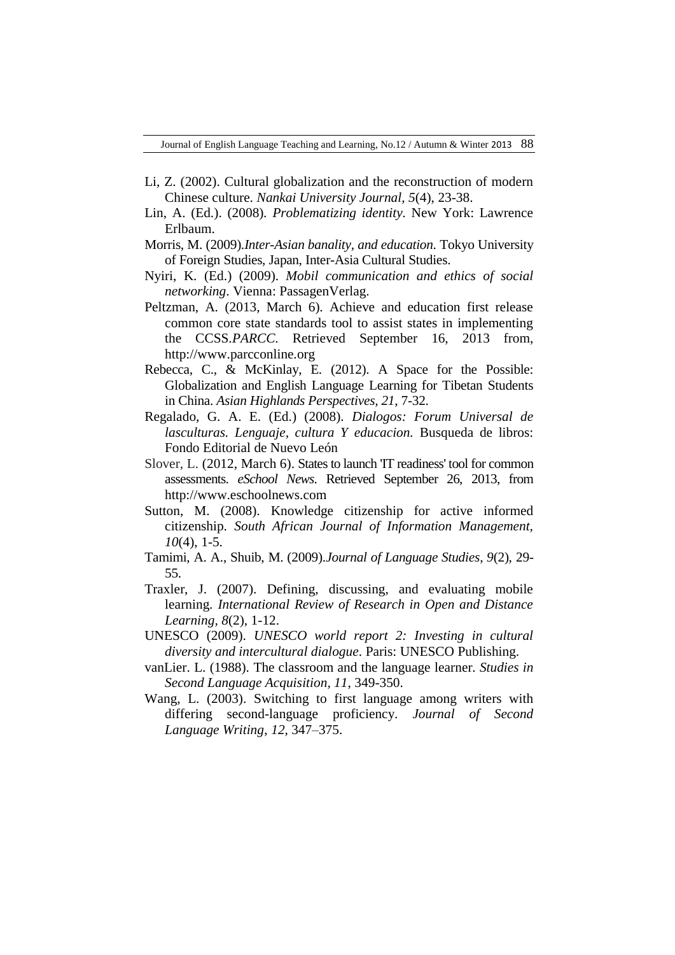- Li, Z. (2002). Cultural globalization and the reconstruction of modern Chinese culture. *Nankai University Journal, 5*(4), 23-38.
- Lin, A. (Ed.). (2008). *Problematizing identity.* New York: Lawrence Erlbaum.
- Morris, M. (2009).*Inter-Asian banality, and education*. Tokyo University of Foreign Studies, Japan, Inter-Asia Cultural Studies.
- Nyiri, K. (Ed.) (2009). *Mobil communication and ethics of social networking*. Vienna: PassagenVerlag.
- Peltzman, A. (2013, March 6). Achieve and education first release common core state standards tool to assist states in implementing the CCSS.*PARCC.* Retrieved September 16, 2013 from, http://www.parcconline.org
- Rebecca, C., & McKinlay, E. (2012). A Space for the Possible: Globalization and English Language Learning for Tibetan Students in China. *Asian Highlands Perspectives, 21*, 7-32.
- Regalado, G. A. E. (Ed.) (2008). *Dialogos: Forum Universal de lasculturas. Lenguaje, cultura Y educacion.* Busqueda de libros: Fondo Editorial de Nuevo León
- Slover, L. (2012, March 6). States to launch 'IT readiness' tool for common assessments. *eSchool News*. Retrieved September 26, 2013, from http://www.eschoolnews.com
- Sutton, M. (2008). Knowledge citizenship for active informed citizenship. *South African Journal of Information Management, 10*(4), 1-5.
- Tamimi, A. A., Shuib, M. (2009).*Journal of Language Studies, 9*(2), 29- 55.
- Traxler, J. (2007). Defining, discussing, and evaluating mobile learning. *International Review of Research in Open and Distance Learning, 8*(2), 1-12.
- UNESCO (2009). *[UNESCO world report 2: Investing in cultural](http://unesdoc.unesco.org/images/0018/001852/185202e.pdf)  [diversity and intercultural dialogue](http://unesdoc.unesco.org/images/0018/001852/185202e.pdf)*. Paris: UNESCO Publishing.
- vanLier. L. (1988). The classroom and the language learner. *Studies in Second Language Acquisition, 11*, 349-350.
- Wang, L. (2003). Switching to first language among writers with differing second-language proficiency. *Journal of Second Language Writing*, *12*, 347–375.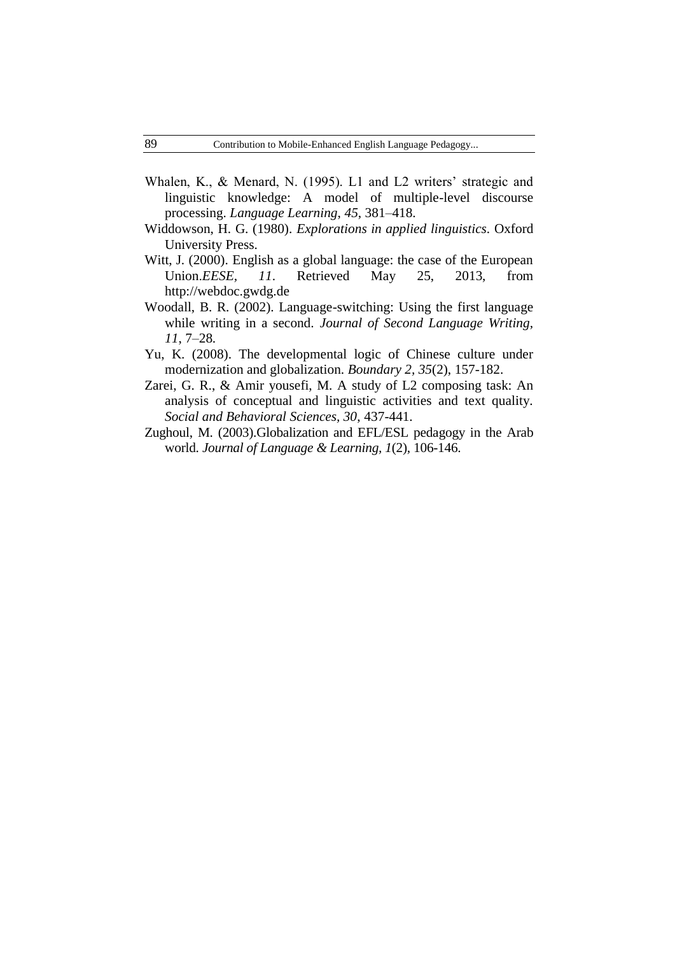- Whalen, K., & Menard, N. (1995). L1 and L2 writers' strategic and linguistic knowledge: A model of multiple-level discourse processing. *Language Learning*, *45*, 381–418.
- Widdowson, H. G. (1980). *Explorations in applied linguistics*. Oxford University Press.
- Witt, J. (2000). English as a global language: the case of the European Union.*EESE, 11*. Retrieved May 25, 2013, from http://webdoc.gwdg.de
- Woodall, B. R. (2002). Language-switching: Using the first language while writing in a second. *Journal of Second Language Writing, 11*, 7–28.
- Yu, K. (2008). The developmental logic of Chinese culture under modernization and globalization. *Boundary 2, 35*(2), 157-182.
- Zarei, G. R., & Amir yousefi, M. A study of L2 composing task: An analysis of conceptual and linguistic activities and text quality. *Social and Behavioral Sciences, 30*, 437-441.
- Zughoul, M. (2003).Globalization and EFL/ESL pedagogy in the Arab world. *Journal of Language & Learning, 1*(2), 106-146.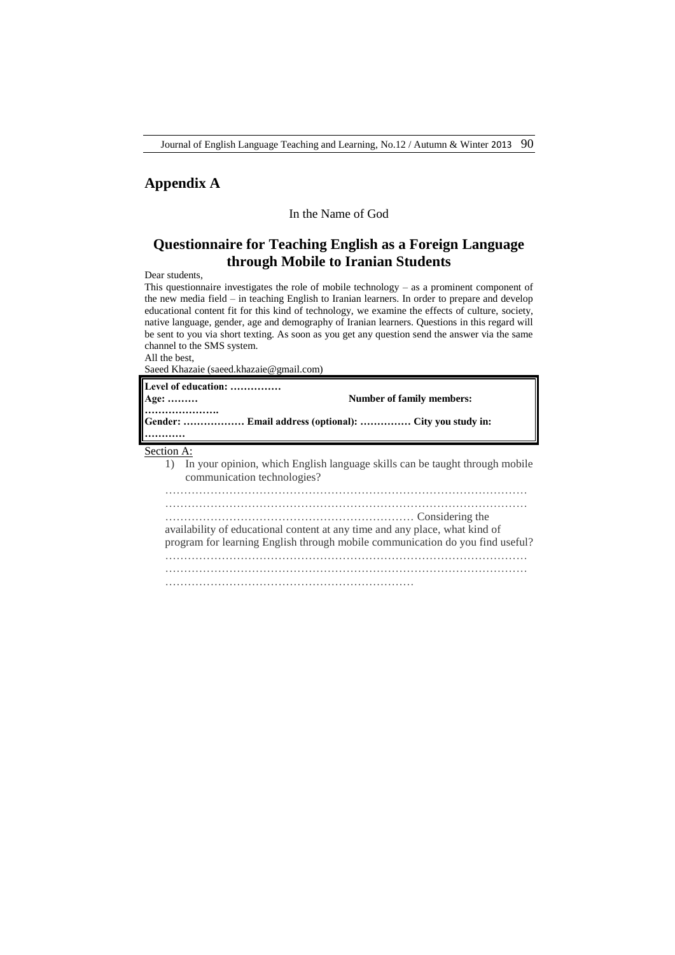## **Appendix A**

#### In the Name of God

# **Questionnaire for Teaching English as a Foreign Language through Mobile to Iranian Students**

Dear students,

This questionnaire investigates the role of mobile technology – as a prominent component of the new media field – in teaching English to Iranian learners. In order to prepare and develop educational content fit for this kind of technology, we examine the effects of culture, society, native language, gender, age and demography of Iranian learners. Questions in this regard will be sent to you via short texting. As soon as you get any question send the answer via the same channel to the SMS system.

All the best,

Saeed Khazaie (saeed.khazaie@gmail.com)

| Level of education:<br>Age:<br>Gender:  Email address (optional):  City you study in: | <b>Number of family members:</b>                                                                                                 |
|---------------------------------------------------------------------------------------|----------------------------------------------------------------------------------------------------------------------------------|
| Section A:<br>1)<br>communication technologies?                                       | In your opinion, which English language skills can be taught through mobile                                                      |
| availability of educational content at any time and any place, what kind of           | considering the constrained and considering the<br>program for learning English through mobile communication do you find useful? |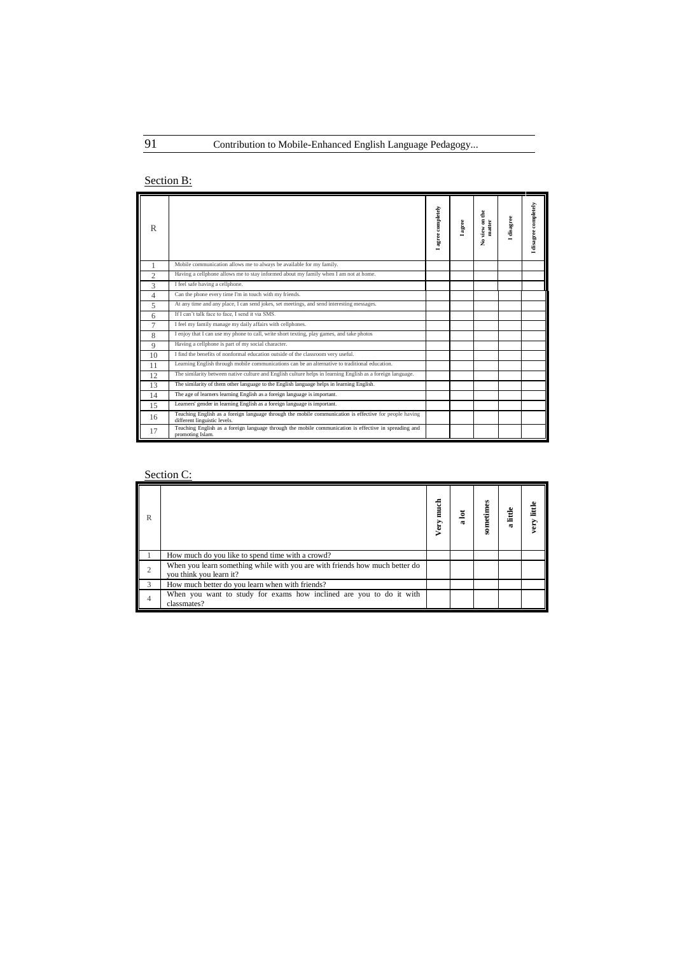# Section B:

| R              |                                                                                                                                        | I agree completely | $_{\rm age}$ | view on the<br>matter<br>ż | disagree | I disagree completely |
|----------------|----------------------------------------------------------------------------------------------------------------------------------------|--------------------|--------------|----------------------------|----------|-----------------------|
|                | Mobile communication allows me to always be available for my family.                                                                   |                    |              |                            |          |                       |
| $\overline{c}$ | Having a cellphone allows me to stay informed about my family when I am not at home.                                                   |                    |              |                            |          |                       |
| 3              | I feel safe having a cellphone.                                                                                                        |                    |              |                            |          |                       |
| $\overline{4}$ | Can the phone every time I'm in touch with my friends.                                                                                 |                    |              |                            |          |                       |
| 5              | At any time and any place, I can send jokes, set meetings, and send interesting messages.                                              |                    |              |                            |          |                       |
| 6              | If I can't talk face to face. I send it via SMS.                                                                                       |                    |              |                            |          |                       |
| $\overline{7}$ | I feel my family manage my daily affairs with cellphones.                                                                              |                    |              |                            |          |                       |
| 8              | I enjoy that I can use my phone to call, write short texting, play games, and take photos                                              |                    |              |                            |          |                       |
| 9              | Having a cellphone is part of my social character.                                                                                     |                    |              |                            |          |                       |
| 10             | I find the benefits of nonformal education outside of the classroom very useful.                                                       |                    |              |                            |          |                       |
| 11             | Learning English through mobile communications can be an alternative to traditional education.                                         |                    |              |                            |          |                       |
| 12             | The similarity between native culture and English culture helps in learning English as a foreign language.                             |                    |              |                            |          |                       |
| 13             | The similarity of them other language to the English language helps in learning English.                                               |                    |              |                            |          |                       |
| 14             | The age of learners learning English as a foreign language is important.                                                               |                    |              |                            |          |                       |
| 15             | Learners' gender in learning English as a foreign language is important.                                                               |                    |              |                            |          |                       |
| 16             | Teaching English as a foreign language through the mobile communication is effective for people having<br>different linguistic levels. |                    |              |                            |          |                       |
| 17             | Teaching English as a foreign language through the mobile communication is effective in spreading and<br>promoting Islam.              |                    |              |                            |          |                       |

# Section C:

| R             |                                                                                                        | t<br>Elect<br>Very | ₫ | sometimes | little<br>$\alpha$ | little<br>very |
|---------------|--------------------------------------------------------------------------------------------------------|--------------------|---|-----------|--------------------|----------------|
|               | How much do you like to spend time with a crowd?                                                       |                    |   |           |                    |                |
| 2             | When you learn something while with you are with friends how much better do<br>you think you learn it? |                    |   |           |                    |                |
| $\mathcal{L}$ | How much better do you learn when with friends?                                                        |                    |   |           |                    |                |
| 4             | When you want to study for exams how inclined are you to do it with<br>classmates?                     |                    |   |           |                    |                |